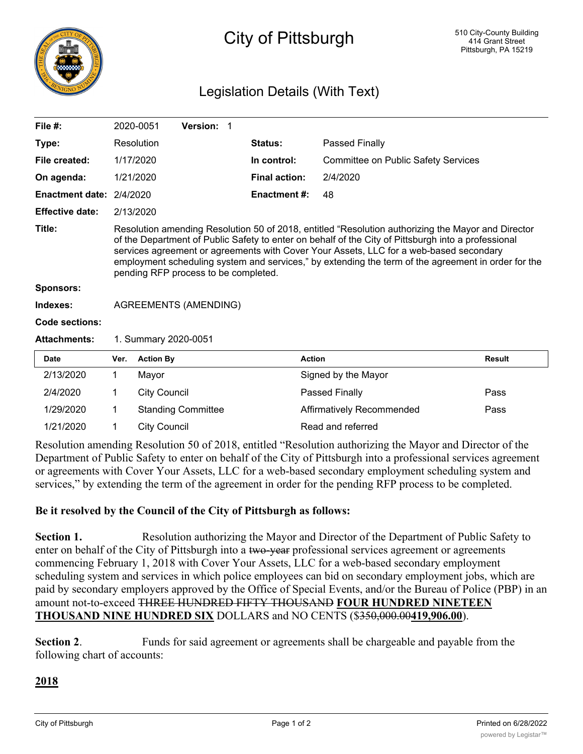

# City of Pittsburgh

# Legislation Details (With Text)

| File $#$ :               |                                                                                                                                                                                                                                                                                                                                                                                                                                                    | 2020-0051           | <b>Version: 1</b>         |  |                      |                                            |               |
|--------------------------|----------------------------------------------------------------------------------------------------------------------------------------------------------------------------------------------------------------------------------------------------------------------------------------------------------------------------------------------------------------------------------------------------------------------------------------------------|---------------------|---------------------------|--|----------------------|--------------------------------------------|---------------|
| Type:                    |                                                                                                                                                                                                                                                                                                                                                                                                                                                    | Resolution          |                           |  | Status:              | Passed Finally                             |               |
| File created:            |                                                                                                                                                                                                                                                                                                                                                                                                                                                    | 1/17/2020           |                           |  | In control:          | <b>Committee on Public Safety Services</b> |               |
| On agenda:               |                                                                                                                                                                                                                                                                                                                                                                                                                                                    | 1/21/2020           |                           |  | <b>Final action:</b> | 2/4/2020                                   |               |
| Enactment date: 2/4/2020 |                                                                                                                                                                                                                                                                                                                                                                                                                                                    |                     |                           |  | <b>Enactment #:</b>  | 48                                         |               |
| <b>Effective date:</b>   | 2/13/2020                                                                                                                                                                                                                                                                                                                                                                                                                                          |                     |                           |  |                      |                                            |               |
| Title:                   | Resolution amending Resolution 50 of 2018, entitled "Resolution authorizing the Mayor and Director<br>of the Department of Public Safety to enter on behalf of the City of Pittsburgh into a professional<br>services agreement or agreements with Cover Your Assets, LLC for a web-based secondary<br>employment scheduling system and services," by extending the term of the agreement in order for the<br>pending RFP process to be completed. |                     |                           |  |                      |                                            |               |
| <b>Sponsors:</b>         |                                                                                                                                                                                                                                                                                                                                                                                                                                                    |                     |                           |  |                      |                                            |               |
| Indexes:                 | <b>AGREEMENTS (AMENDING)</b>                                                                                                                                                                                                                                                                                                                                                                                                                       |                     |                           |  |                      |                                            |               |
| Code sections:           |                                                                                                                                                                                                                                                                                                                                                                                                                                                    |                     |                           |  |                      |                                            |               |
| <b>Attachments:</b>      | 1. Summary 2020-0051                                                                                                                                                                                                                                                                                                                                                                                                                               |                     |                           |  |                      |                                            |               |
| <b>Date</b>              | Ver.                                                                                                                                                                                                                                                                                                                                                                                                                                               | <b>Action By</b>    |                           |  |                      | <b>Action</b>                              | <b>Result</b> |
| 2/13/2020                | 1                                                                                                                                                                                                                                                                                                                                                                                                                                                  | Mayor               |                           |  |                      | Signed by the Mayor                        |               |
| 2/4/2020                 | 1                                                                                                                                                                                                                                                                                                                                                                                                                                                  | <b>City Council</b> |                           |  |                      | Passed Finally                             | Pass          |
| 1/29/2020                | 1                                                                                                                                                                                                                                                                                                                                                                                                                                                  |                     | <b>Standing Committee</b> |  |                      | Affirmatively Recommended                  | Pass          |
| 1/21/2020                | 1                                                                                                                                                                                                                                                                                                                                                                                                                                                  | <b>City Council</b> |                           |  |                      | Read and referred                          |               |

Resolution amending Resolution 50 of 2018, entitled "Resolution authorizing the Mayor and Director of the Department of Public Safety to enter on behalf of the City of Pittsburgh into a professional services agreement or agreements with Cover Your Assets, LLC for a web-based secondary employment scheduling system and services," by extending the term of the agreement in order for the pending RFP process to be completed.

# **Be it resolved by the Council of the City of Pittsburgh as follows:**

**Section 1.** Resolution authorizing the Mayor and Director of the Department of Public Safety to enter on behalf of the City of Pittsburgh into a two-year professional services agreement or agreements commencing February 1, 2018 with Cover Your Assets, LLC for a web-based secondary employment scheduling system and services in which police employees can bid on secondary employment jobs, which are paid by secondary employers approved by the Office of Special Events, and/or the Bureau of Police (PBP) in an amount not-to-exceed THREE HUNDRED FIFTY THOUSAND **FOUR HUNDRED NINETEEN THOUSAND NINE HUNDRED SIX** DOLLARS and NO CENTS (\$350,000.00**419,906.00**).

**Section 2.** Funds for said agreement or agreements shall be chargeable and payable from the following chart of accounts:

# **2018**